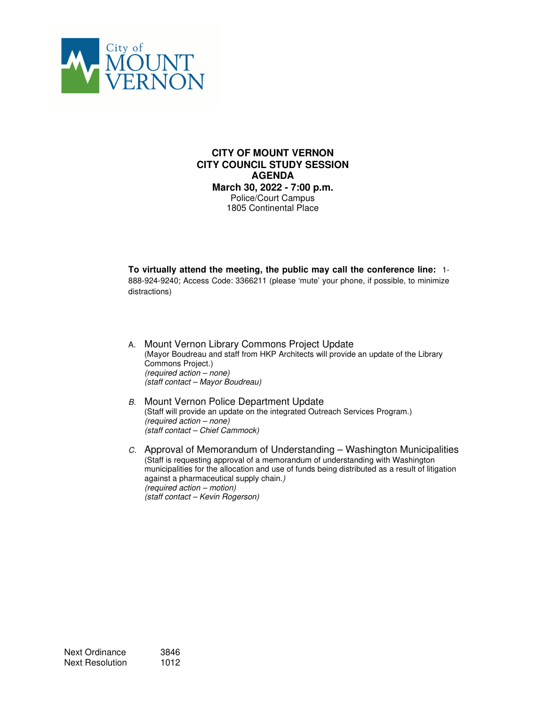

#### **CITY OF MOUNT VERNON CITY COUNCIL STUDY SESSION AGENDA March 30, 2022 - 7:00 p.m.**  Police/Court Campus 1805 Continental Place

**To virtually attend the meeting, the public may call the conference line:** 1- 888-924-9240; Access Code: 3366211 (please 'mute' your phone, if possible, to minimize distractions)

- A. Mount Vernon Library Commons Project Update (Mayor Boudreau and staff from HKP Architects will provide an update of the Library Commons Project.) (required action – none) (staff contact – Mayor Boudreau)
- B. Mount Vernon Police Department Update (Staff will provide an update on the integrated Outreach Services Program.) (required action – none) (staff contact – Chief Cammock)
- C. Approval of Memorandum of Understanding Washington Municipalities (Staff is requesting approval of a memorandum of understanding with Washington municipalities for the allocation and use of funds being distributed as a result of litigation against a pharmaceutical supply chain.) (required action – motion) (staff contact – Kevin Rogerson)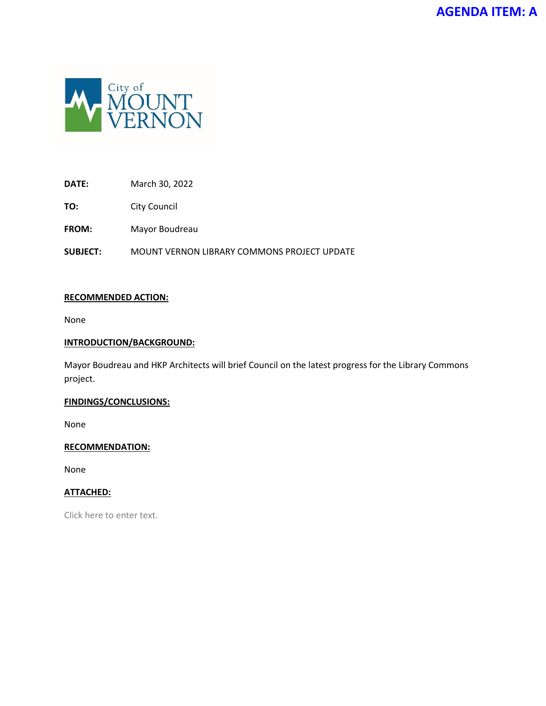

# **DATE:** March 30, 2022

**TO:** City Council

**FROM:** Mayor Boudreau

**SUBJECT:** MOUNT VERNON LIBRARY COMMONS PROJECT UPDATE

## **RECOMMENDED ACTION:**

None

## **INTRODUCTION/BACKGROUND:**

Mayor Boudreau and HKP Architects will brief Council on the latest progress for the Library Commons project.

## **FINDINGS/CONCLUSIONS:**

None

## **RECOMMENDATION:**

None

## **ATTACHED:**

Click here to enter text.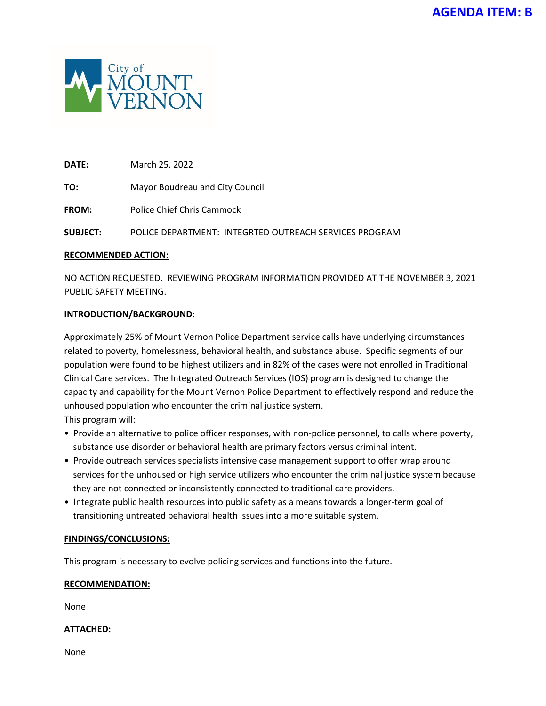

**DATE:** March 25, 2022

**TO:** Mayor Boudreau and City Council

**FROM:** Police Chief Chris Cammock

**SUBJECT:** POLICE DEPARTMENT: INTEGRTED OUTREACH SERVICES PROGRAM

## **RECOMMENDED ACTION:**

NO ACTION REQUESTED. REVIEWING PROGRAM INFORMATION PROVIDED AT THE NOVEMBER 3, 2021 PUBLIC SAFETY MEETING.

#### **INTRODUCTION/BACKGROUND:**

Approximately 25% of Mount Vernon Police Department service calls have underlying circumstances related to poverty, homelessness, behavioral health, and substance abuse. Specific segments of our population were found to be highest utilizers and in 82% of the cases were not enrolled in Traditional Clinical Care services. The Integrated Outreach Services (IOS) program is designed to change the capacity and capability for the Mount Vernon Police Department to effectively respond and reduce the unhoused population who encounter the criminal justice system. This program will:

• Provide an alternative to police officer responses, with non-police personnel, to calls where poverty, substance use disorder or behavioral health are primary factors versus criminal intent.

- Provide outreach services specialists intensive case management support to offer wrap around services for the unhoused or high service utilizers who encounter the criminal justice system because they are not connected or inconsistently connected to traditional care providers.
- Integrate public health resources into public safety as a means towards a longer-term goal of transitioning untreated behavioral health issues into a more suitable system.

## **FINDINGS/CONCLUSIONS:**

This program is necessary to evolve policing services and functions into the future.

## **RECOMMENDATION:**

None

## **ATTACHED:**

None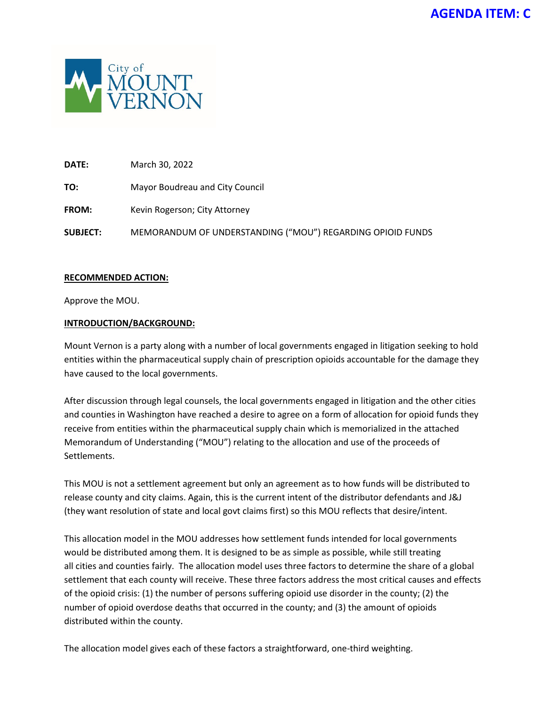

**DATE:** March 30, 2022

**TO:** Mayor Boudreau and City Council

FROM: Kevin Rogerson; City Attorney

**SUBJECT:** MEMORANDUM OF UNDERSTANDING ("MOU") REGARDING OPIOID FUNDS

## **RECOMMENDED ACTION:**

Approve the MOU.

#### **INTRODUCTION/BACKGROUND:**

Mount Vernon is a party along with a number of local governments engaged in litigation seeking to hold entities within the pharmaceutical supply chain of prescription opioids accountable for the damage they have caused to the local governments.

After discussion through legal counsels, the local governments engaged in litigation and the other cities and counties in Washington have reached a desire to agree on a form of allocation for opioid funds they receive from entities within the pharmaceutical supply chain which is memorialized in the attached Memorandum of Understanding ("MOU") relating to the allocation and use of the proceeds of Settlements.

This MOU is not a settlement agreement but only an agreement as to how funds will be distributed to release county and city claims. Again, this is the current intent of the distributor defendants and J&J (they want resolution of state and local govt claims first) so this MOU reflects that desire/intent.

This allocation model in the MOU addresses how settlement funds intended for local governments would be distributed among them. It is designed to be as simple as possible, while still treating all cities and counties fairly. The allocation model uses three factors to determine the share of a global settlement that each county will receive. These three factors address the most critical causes and effects of the opioid crisis: (1) the number of persons suffering opioid use disorder in the county; (2) the number of opioid overdose deaths that occurred in the county; and (3) the amount of opioids distributed within the county.

The allocation model gives each of these factors a straightforward, one-third weighting.